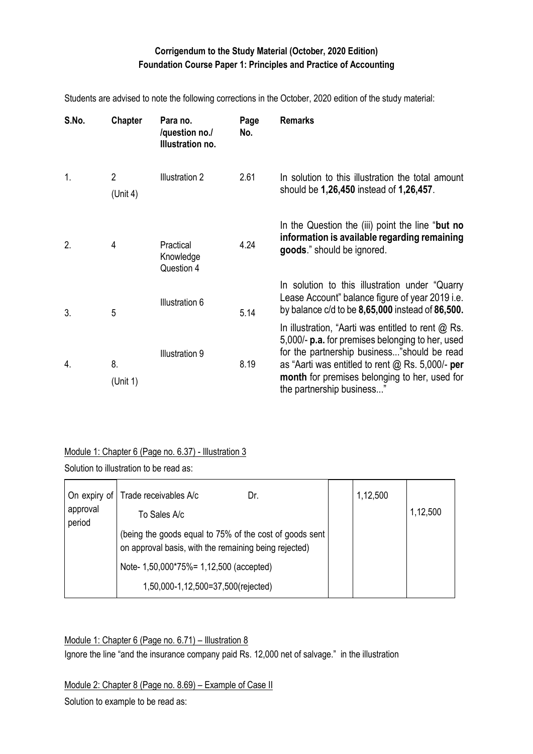## **Corrigendum to the Study Material (October, 2020 Edition) Foundation Course Paper 1: Principles and Practice of Accounting**

| S.No. | <b>Chapter</b>             | Para no.<br>/question no./<br>Illustration no. | Page<br>No. | <b>Remarks</b>                                                                                                                                                                                                                                                                                     |
|-------|----------------------------|------------------------------------------------|-------------|----------------------------------------------------------------------------------------------------------------------------------------------------------------------------------------------------------------------------------------------------------------------------------------------------|
| 1.    | $\overline{2}$<br>(Unit 4) | Illustration 2                                 | 2.61        | In solution to this illustration the total amount<br>should be 1,26,450 instead of 1,26,457.                                                                                                                                                                                                       |
| 2.    | 4                          | Practical<br>Knowledge<br>Question 4           | 4.24        | In the Question the (iii) point the line "but no<br>information is available regarding remaining<br>goods." should be ignored.                                                                                                                                                                     |
| 3.    | 5                          | Illustration 6                                 | 5.14        | In solution to this illustration under "Quarry"<br>Lease Account" balance figure of year 2019 i.e.<br>by balance $c/d$ to be $8,65,000$ instead of $86,500$ .                                                                                                                                      |
| 4.    | 8.<br>(Unit 1)             | Illustration 9                                 | 8.19        | In illustration, "Aarti was entitled to rent $@$ Rs.<br>5,000/- <b>p.a.</b> for premises belonging to her, used<br>for the partnership business"should be read<br>as "Aarti was entitled to rent $@$ Rs. 5,000/- per<br>month for premises belonging to her, used for<br>the partnership business" |

Students are advised to note the following corrections in the October, 2020 edition of the study material:

### Module 1: Chapter 6 (Page no. 6.37) - Illustration 3

Solution to illustration to be read as:

| On expiry of<br>approval | Trade receivables A/c<br>Dr.<br>To Sales A/c                                                                     | 1,12,500 | 1,12,500 |
|--------------------------|------------------------------------------------------------------------------------------------------------------|----------|----------|
| period                   | (being the goods equal to 75% of the cost of goods sent<br>on approval basis, with the remaining being rejected) |          |          |
|                          | Note- 1,50,000*75%= 1,12,500 (accepted)                                                                          |          |          |
|                          | 1,50,000-1,12,500=37,500(rejected)                                                                               |          |          |

Module 1: Chapter 6 (Page no. 6.71) – Illustration 8

Ignore the line "and the insurance company paid Rs. 12,000 net of salvage." in the illustration

Module 2: Chapter 8 (Page no. 8.69) – Example of Case II

Solution to example to be read as: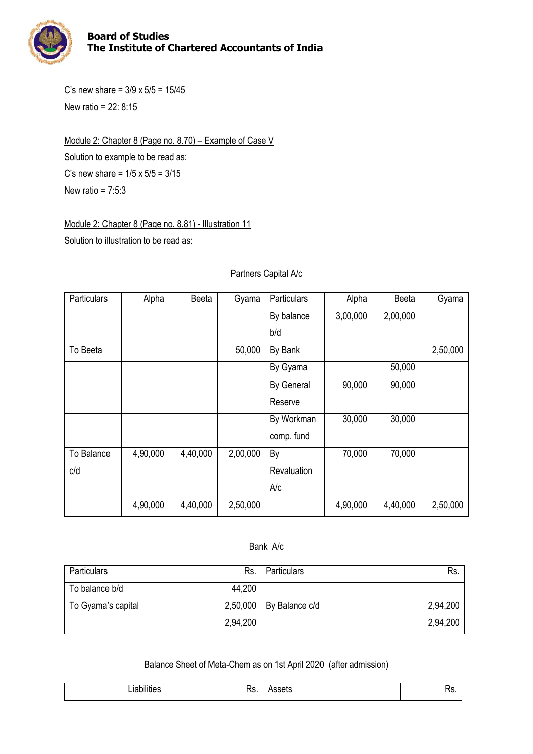

C's new share =  $3/9 \times 5/5 = 15/45$ New ratio = 22: 8:15

Module 2: Chapter 8 (Page no. 8.70) – Example of Case V Solution to example to be read as: C's new share =  $1/5 \times 5/5 = 3/15$ New ratio =  $7:5:3$ 

Module 2: Chapter 8 (Page no. 8.81) - Illustration 11

Solution to illustration to be read as:

### Particulars | Alpha | Beeta | Gyama | Particulars | Alpha | Beeta | Gyama By balance b/d 3,00,000 2,00,000 To Beeta  $\vert$   $\vert$  50,000 | By Bank  $\vert$  |  $\vert$  2,50,000 By Gyama 50,000 By General Reserve 90,000 90,000 By Workman comp. fund 30,000 30,000 To Balance c/d 4,90,000 | 4,40,000 | 2,00,000 | By **Revaluation** A/c 70,000 70,000 4,90,000 | 4,40,000 | 2,50,000 | | 4,90,000 | 4,40,000 | 2,50,000

### Partners Capital A/c

#### Bank A/c

| <b>Particulars</b> | Rs.      | <b>Particulars</b> | Rs       |
|--------------------|----------|--------------------|----------|
| To balance b/d     | 44,200   |                    |          |
| To Gyama's capital | 2,50,000 | By Balance c/d     | 2,94,200 |
|                    | 2,94,200 |                    | 2,94,200 |

### Balance Sheet of Meta-Chem as on 1st April 2020 (after admission)

| <br>$\sim$ 1.0 $^{\circ}$<br>тшне.<br>ıc | -<br><br>_<br>15. | ----<br>۰щ | . ن |
|------------------------------------------|-------------------|------------|-----|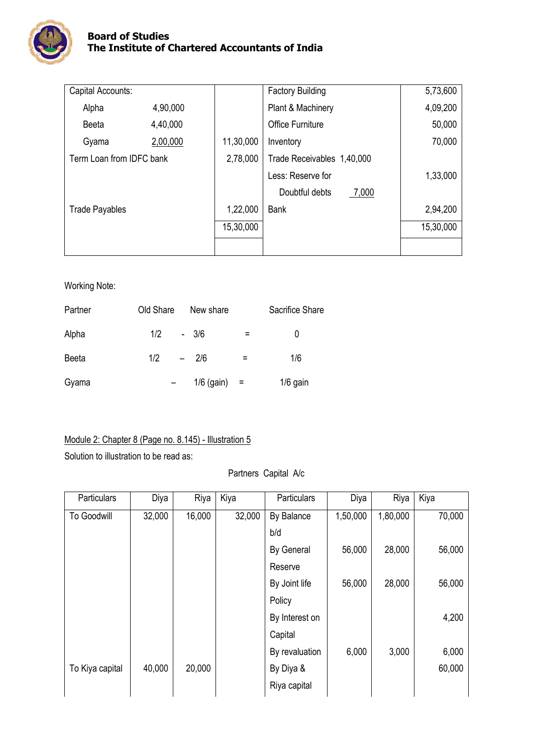

| Capital Accounts:        |          |           | <b>Factory Building</b>    | 5,73,600  |
|--------------------------|----------|-----------|----------------------------|-----------|
| Alpha                    | 4,90,000 |           | Plant & Machinery          | 4,09,200  |
| Beeta                    | 4,40,000 |           | <b>Office Furniture</b>    | 50,000    |
| Gyama                    | 2,00,000 | 11,30,000 | Inventory                  | 70,000    |
| Term Loan from IDFC bank |          | 2,78,000  | Trade Receivables 1,40,000 |           |
|                          |          |           | Less: Reserve for          | 1,33,000  |
|                          |          |           | Doubtful debts<br>7,000    |           |
| <b>Trade Payables</b>    |          | 1,22,000  | <b>Bank</b>                | 2,94,200  |
|                          |          | 15,30,000 |                            | 15,30,000 |
|                          |          |           |                            |           |

### Working Note:

| Partner | Old Share | New share    |     | Sacrifice Share |
|---------|-----------|--------------|-----|-----------------|
| Alpha   | 1/2       | $-3/6$       |     |                 |
| Beeta   | 1/2       | $-2/6$       | $=$ | 1/6             |
| Gyama   |           | $1/6$ (gain) | $=$ | 1/6 gain        |

## Module 2: Chapter 8 (Page no. 8.145) - Illustration 5

Solution to illustration to be read as:

### Partners Capital A/c

| Particulars     | Diya   | Riya   | Kiya   | Particulars    | Diya     | Riya     | Kiya   |
|-----------------|--------|--------|--------|----------------|----------|----------|--------|
| To Goodwill     | 32,000 | 16,000 | 32,000 | By Balance     | 1,50,000 | 1,80,000 | 70,000 |
|                 |        |        |        | b/d            |          |          |        |
|                 |        |        |        | By General     | 56,000   | 28,000   | 56,000 |
|                 |        |        |        | Reserve        |          |          |        |
|                 |        |        |        | By Joint life  | 56,000   | 28,000   | 56,000 |
|                 |        |        |        | Policy         |          |          |        |
|                 |        |        |        | By Interest on |          |          | 4,200  |
|                 |        |        |        | Capital        |          |          |        |
|                 |        |        |        | By revaluation | 6,000    | 3,000    | 6,000  |
| To Kiya capital | 40,000 | 20,000 |        | By Diya &      |          |          | 60,000 |
|                 |        |        |        | Riya capital   |          |          |        |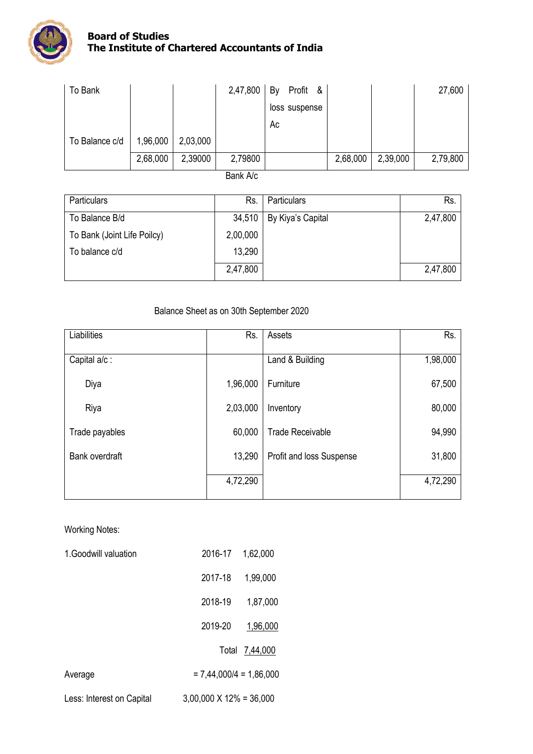

| To Bank        |          |          | 2,47,800 | Profit &<br>By |          |          | 27,600   |
|----------------|----------|----------|----------|----------------|----------|----------|----------|
|                |          |          |          | loss suspense  |          |          |          |
|                |          |          |          | Ac             |          |          |          |
| To Balance c/d | 1,96,000 | 2,03,000 |          |                |          |          |          |
|                | 2,68,000 | 2,39000  | 2,79800  |                | 2,68,000 | 2,39,000 | 2,79,800 |
|                |          |          |          |                |          |          |          |

Bank A/c

| Particulars                 | Rs.      | <b>Particulars</b> | Rs.      |
|-----------------------------|----------|--------------------|----------|
| To Balance B/d              | 34,510   | By Kiya's Capital  | 2,47,800 |
| To Bank (Joint Life Poilcy) | 2,00,000 |                    |          |
| To balance c/d              | 13,290   |                    |          |
|                             | 2,47,800 |                    | 2,47,800 |

## Balance Sheet as on 30th September 2020

| Liabilities    | Rs.      | Assets                   | Rs.      |
|----------------|----------|--------------------------|----------|
| Capital a/c:   |          | Land & Building          | 1,98,000 |
| Diya           | 1,96,000 | Furniture                | 67,500   |
| Riya           | 2,03,000 | Inventory                | 80,000   |
| Trade payables | 60,000   | <b>Trade Receivable</b>  | 94,990   |
| Bank overdraft | 13,290   | Profit and loss Suspense | 31,800   |
|                | 4,72,290 |                          | 4,72,290 |

## Working Notes:

| 1. Goodwill valuation     | 2016-17                         | 1,62,000       |
|---------------------------|---------------------------------|----------------|
|                           | 2017-18                         | 1,99,000       |
|                           | 2018-19                         | 1,87,000       |
|                           | 2019-20                         | 1,96,000       |
|                           |                                 | Total 7,44,000 |
| Average                   | $= 7,44,000/4 = 1,86,000$       |                |
| Less: Interest on Capital | $3,00,000 \times 12\% = 36,000$ |                |